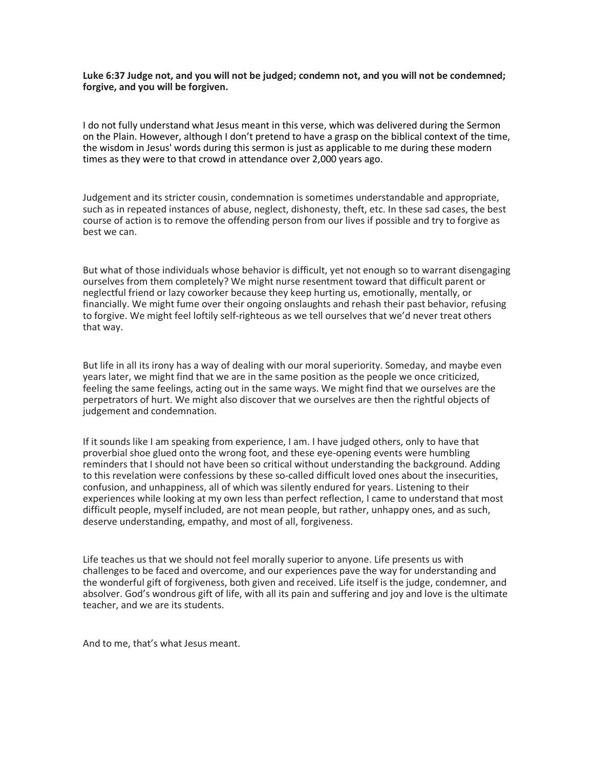**Luke 6:37 Judge not, and you will not be judged; condemn not, and you will not be condemned; forgive, and you will be forgiven.**

I do not fully understand what Jesus meant in this verse, which was delivered during the Sermon on the Plain. However, although I don't pretend to have a grasp on the biblical context of the time, the wisdom in Jesus' words during this sermon is just as applicable to me during these modern times as they were to that crowd in attendance over 2,000 years ago.

Judgement and its stricter cousin, condemnation is sometimes understandable and appropriate, such as in repeated instances of abuse, neglect, dishonesty, theft, etc. In these sad cases, the best course of action is to remove the offending person from our lives if possible and try to forgive as best we can.

But what of those individuals whose behavior is difficult, yet not enough so to warrant disengaging ourselves from them completely? We might nurse resentment toward that difficult parent or neglectful friend or lazy coworker because they keep hurting us, emotionally, mentally, or financially. We might fume over their ongoing onslaughts and rehash their past behavior, refusing to forgive. We might feel loftily self-righteous as we tell ourselves that we'd never treat others that way.

But life in all its irony has a way of dealing with our moral superiority. Someday, and maybe even years later, we might find that we are in the same position as the people we once criticized, feeling the same feelings, acting out in the same ways. We might find that we ourselves are the perpetrators of hurt. We might also discover that we ourselves are then the rightful objects of judgement and condemnation.

If it sounds like I am speaking from experience, I am. I have judged others, only to have that proverbial shoe glued onto the wrong foot, and these eye-opening events were humbling reminders that I should not have been so critical without understanding the background. Adding to this revelation were confessions by these so-called difficult loved ones about the insecurities, confusion, and unhappiness, all of which was silently endured for years. Listening to their experiences while looking at my own less than perfect reflection, I came to understand that most difficult people, myself included, are not mean people, but rather, unhappy ones, and as such, deserve understanding, empathy, and most of all, forgiveness.

Life teaches us that we should not feel morally superior to anyone. Life presents us with challenges to be faced and overcome, and our experiences pave the way for understanding and the wonderful gift of forgiveness, both given and received. Life itself is the judge, condemner, and absolver. God's wondrous gift of life, with all its pain and suffering and joy and love is the ultimate teacher, and we are its students.

And to me, that's what Jesus meant.